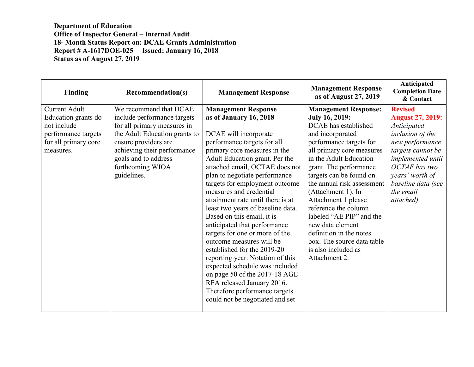**Department of Education Office of Inspector General – Internal Audit 18- Month Status Report on: DCAE Grants Administration Report # A-1617DOE-025 Issued: January 16, 2018 Status as of August 27, 2019**

| Finding                                                                                                                | <b>Recommendation(s)</b>                                                                                                                                                                                                                | <b>Management Response</b>                                                                                                                                                                                                                                                                                                                                                                                                                                                                                                                                                                                                                                                                                                                                   | <b>Management Response</b><br>as of August 27, 2019                                                                                                                                                                                                                                                                                                                                                                                                                                         | Anticipated<br><b>Completion Date</b><br>& Contact                                                                                                                                                                                   |
|------------------------------------------------------------------------------------------------------------------------|-----------------------------------------------------------------------------------------------------------------------------------------------------------------------------------------------------------------------------------------|--------------------------------------------------------------------------------------------------------------------------------------------------------------------------------------------------------------------------------------------------------------------------------------------------------------------------------------------------------------------------------------------------------------------------------------------------------------------------------------------------------------------------------------------------------------------------------------------------------------------------------------------------------------------------------------------------------------------------------------------------------------|---------------------------------------------------------------------------------------------------------------------------------------------------------------------------------------------------------------------------------------------------------------------------------------------------------------------------------------------------------------------------------------------------------------------------------------------------------------------------------------------|--------------------------------------------------------------------------------------------------------------------------------------------------------------------------------------------------------------------------------------|
| <b>Current Adult</b><br>Education grants do<br>not include<br>performance targets<br>for all primary core<br>measures. | We recommend that DCAE<br>include performance targets<br>for all primary measures in<br>the Adult Education grants to<br>ensure providers are<br>achieving their performance<br>goals and to address<br>forthcoming WIOA<br>guidelines. | <b>Management Response</b><br>as of January 16, 2018<br>DCAE will incorporate<br>performance targets for all<br>primary core measures in the<br>Adult Education grant. Per the<br>attached email, OCTAE does not<br>plan to negotiate performance<br>targets for employment outcome<br>measures and credential<br>attainment rate until there is at<br>least two years of baseline data.<br>Based on this email, it is<br>anticipated that performance<br>targets for one or more of the<br>outcome measures will be<br>established for the 2019-20<br>reporting year. Notation of this<br>expected schedule was included<br>on page 50 of the 2017-18 AGE<br>RFA released January 2016.<br>Therefore performance targets<br>could not be negotiated and set | <b>Management Response:</b><br><b>July 16, 2019:</b><br>DCAE has established<br>and incorporated<br>performance targets for<br>all primary core measures<br>in the Adult Education<br>grant. The performance<br>targets can be found on<br>the annual risk assessment<br>(Attachment 1). In<br>Attachment 1 please<br>reference the column<br>labeled "AE PIP" and the<br>new data element<br>definition in the notes<br>box. The source data table<br>is also included as<br>Attachment 2. | <b>Revised</b><br><b>August 27, 2019:</b><br>Anticipated<br>inclusion of the<br>new performance<br>targets cannot be<br>implemented until<br><b>OCTAE</b> has two<br>years' worth of<br>baseline data (see<br>the email<br>attached) |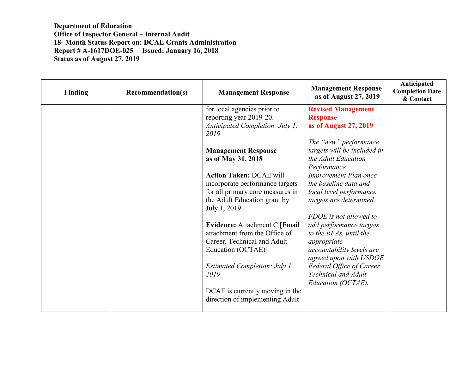**Department of Education Office of Inspector General – Internal Audit 18- Month Status Report on: DCAE Grants Administration Report # A-1617DOE-025 Issued: January 16, 2018 Status as of August 27, 2019**

| <b>Finding</b> | <b>Recommendation(s)</b> | <b>Management Response</b>                                                                                                                                                                                                          | <b>Management Response</b><br>as of August 27, 2019                                                                                                                                                                        | Anticipated<br><b>Completion Date</b><br>& Contact |
|----------------|--------------------------|-------------------------------------------------------------------------------------------------------------------------------------------------------------------------------------------------------------------------------------|----------------------------------------------------------------------------------------------------------------------------------------------------------------------------------------------------------------------------|----------------------------------------------------|
|                |                          | for local agencies prior to<br>reporting year 2019-20.<br>Anticipated Completion: July 1,<br>2019                                                                                                                                   | <b>Revised Management</b><br><b>Response</b><br>as of August 27, 2019                                                                                                                                                      |                                                    |
|                |                          | <b>Management Response</b><br>as of May 31, 2018<br><b>Action Taken: DCAE will</b><br>incorporate performance targets<br>for all primary core measures in<br>the Adult Education grant by<br>July 1, 2019.                          | The "new" performance<br>targets will be included in<br>the Adult Education<br>Performance<br><b>Improvement Plan once</b><br>the baseline data and<br>local level performance<br>targets are determined.                  |                                                    |
|                |                          | Evidence: Attachment C [Email]<br>attachment from the Office of<br>Career, Technical and Adult<br>Education (OCTAE)]<br>Estimated Completion: July 1,<br>2019<br>DCAE is currently moving in the<br>direction of implementing Adult | FDOE is not allowed to<br>add performance targets<br>to the RFAs, until the<br>appropriate<br>accountability levels are<br>agreed upon with USDOE<br>Federal Office of Career<br>Technical and Adult<br>Education (OCTAE). |                                                    |